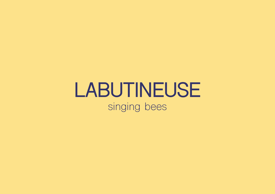# **LABUTINEUSE** singing bees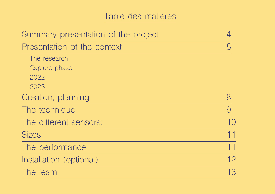# Table des matières

| Summary presentation of the project |    |
|-------------------------------------|----|
| Presentation of the context         | 5  |
| The research                        |    |
| Capture phase                       |    |
| 2022                                |    |
| 2023                                |    |
| Creation, planning                  | 8  |
| The technique                       | 9  |
| The different sensors:              | 10 |
| <b>Sizes</b>                        | 11 |
| The performance                     | 11 |
| Installation (optional)             | 12 |
| The team                            | 13 |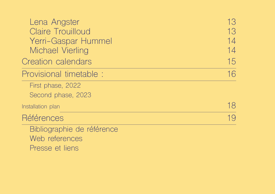| 13 |
|----|
| 13 |
| 14 |
| 14 |
| 15 |
| 16 |
|    |
|    |
| 18 |
| 19 |
|    |
|    |
|    |
|    |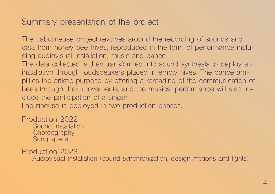# Summary presentation of the project

The Labutineuse project revolves around the recording of sounds and data from honey bee hives, reproduced in the form of performance including audiovisual installation, music and dance.

The data collected is then transformed into sound synthesis to deploy an installation through loudspeakers placed in empty hives. The dance amplifies the artistic purpose by offering a rereading of the communication of bees through their movements, and the musical performance will also include the participation of a singer.

Labutineuse is deployed in two production phases.

Production 2022 Sound installation **Choreography** 

Sung space

Production 2023

Audiovisual installation (sound synchronization, design motions and lights)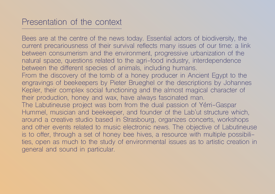# Presentation of the context

Bees are at the centre of the news today. Essential actors of biodiversity, the current precariousness of their survival reflects many issues of our time: a link between consumerism and the environment, progressive urbanization of the natural space, questions related to the agri-food industry, interdependence between the different species of animals, including humans. From the discovery of the tomb of a honey producer in Ancient Egypt to the engravings of beekeepers by Pieter Brueghel or the descriptions by Johannes Kepler, their complex social functioning and the almost magical character of their production, honey and wax, have always fascinated man. The Labutineuse project was born from the dual passion of Yérri-Gaspar Hummel, musician and beekeeper, and founder of the Lab'ut structure which, around a creative studio based in Strasbourg, organizes concerts, workshops and other events related to music electronic news. The objective of Labutineuse is to offer, through a set of honey bee hives, a resource with multiple possibilities, open as much to the study of environmental issues as to artistic creation in general and sound in particular.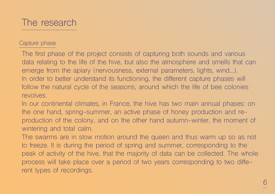

#### Capture phase

The first phase of the project consists of capturing both sounds and various data relating to the life of the hive, but also the atmosphere and smells that can emerge from the apiary (nervousness, external parameters, lights, wind…). In order to better understand its functioning, the different capture phases will follow the natural cycle of the seasons, around which the life of bee colonies revolves.

In our continental climates, in France, the hive has two main annual phases: on the one hand, spring-summer, an active phase of honey production and reproduction of the colony, and on the other hand autumn-winter, the moment of wintering and total calm.

The swarms are in slow motion around the queen and thus warm up so as not to freeze. It is during the period of spring and summer, corresponding to the peak of activity of the hive, that the majority of data can be collected. The whole process will take place over a period of two years corresponding to two different types of recordings.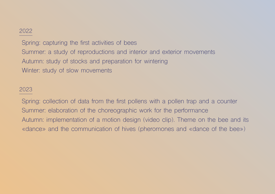#### 2022

Spring: capturing the first activities of bees Summer: a study of reproductions and interior and exterior movements Autumn: study of stocks and preparation for wintering Winter: study of slow movements

#### 2023

Spring: collection of data from the first pollens with a pollen trap and a counter Summer: elaboration of the choreographic work for the performance Autumn: implementation of a motion design (video clip). Theme on the bee and its «dance» and the communication of hives (pheromones and «dance of the bee»)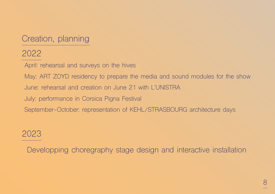# Creation, planning

# 2022

April: rehearsal and surveys on the hives

May: ART ZOYD residency to prepare the media and sound modules for the show

June: rehearsal and creation on June 21 with L'UNISTRA

July: performance in Corsica Pigna Festival

September-October: representation of KEHL/STRASBOURG architecture days

# 2023

Developping choregraphy stage design and interactive installation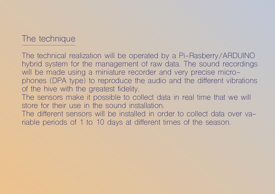# The technique

The technical realization will be operated by a Pi-Rasberry/ARDUINO hybrid system for the management of raw data. The sound recordings will be made using a miniature recorder and very precise microphones (DPA type) to reproduce the audio and the different vibrations of the hive with the greatest fidelity.

The sensors make it possible to collect data in real time that we will store for their use in the sound installation.

The different sensors will be installed in order to collect data over variable periods of 1 to 10 days at different times of the season.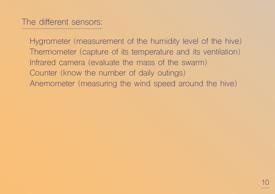Hygrometer (measurement of the humidity level of the hive) Thermometer (capture of its temperature and its ventilation) Infrared camera (evaluate the mass of the swarm) Counter (know the number of daily outings) Anemometer (measuring the wind speed around the hive)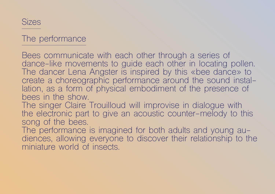

# The performance

Bees communicate with each other through a series of dance-like movements to guide each other in locating pollen. The dancer Lena Angster is inspired by this «bee dance» to create a choreographic performance around the sound installation, as a form of physical embodiment of the presence of bees in the show.

The singer Claire Trouilloud will improvise in dialogue with the electronic part to give an acoustic counter-melody to this song of the bees.

The performance is imagined for both adults and young audiences, allowing everyone to discover their relationship to the miniature world of insects.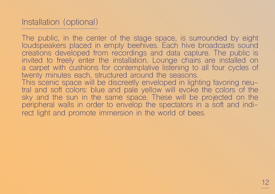# Installation (optional)

The public, in the center of the stage space, is surrounded by eight loudspeakers placed in empty beehives. Each hive broadcasts sound creations developed from recordings and data capture. The public is invited to freely enter the installation. Lounge chairs are installed on a carpet with cushions for contemplative listening to all four cycles of twenty minutes each, structured around the seasons. This scenic space will be discreetly enveloped in lighting favoring neutral and soft colors: blue and pale yellow will evoke the colors of the sky and the sun in the same space. These will be projected on the peripheral walls in order to envelop the spectators in a soft and indirect light and promote immersion in the world of bees.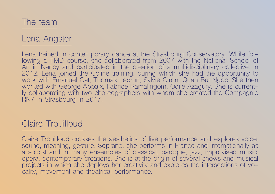The team

### Lena Angster

Lena trained in contemporary dance at the Strasbourg Conservatory. While fol-<br>lowing a TMD course, she collaborated from 2007 with the National School of Art in Nancy and participated in the creation of a multidisciplinary collective. In 2012, Lena joined the Coline training, during which she had the opportunity to work with Emanuel Gat, Thomas Lebrun, Sylvie Giron, Quan Bui Ngoc. She then<br>worked with George Appaix, Fabrice Ramalingom, Odile Azagury. She is currently collaborating with two choreographers with whom she created the Compagnie RN7 in Strasbourg in 2017.

## Claire Trouilloud

Claire Trouilloud crosses the aesthetics of live performance and explores voice, sound, meaning, gesture. Soprano, she performs in France and internationally as a soloist and in many ensembles of classical, baroque, jazz, improvised music, opera, contemporary creations. She is at the origin of several shows and musical projects in which she deploys her creativity and explores the intersections of vocality, movement and theatrical performance.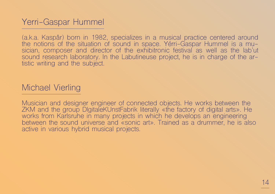# Yerri-Gaspar Hummel

(a.k.a. Kaspår) born in 1982, specializes in a musical practice centered around the notions of the situation of sound in space. Yérri-Gaspar Hummel is a musician, composer and director of the exhibitronic festival as well as the lab'ut sound research laboratory. In the Labutineuse project, he is in charge of the artistic writing and the subject.

# Michael Vierling

Musician and designer engineer of connected objects. He works between the ZKM and the group DIgitaleKUnstFabrik literally «the factory of digital arts». He works from Karlsruhe in many projects in which he develops an engineering between the sound universe and «sonic art». Trained as a drummer, he is also active in various hybrid musical projects.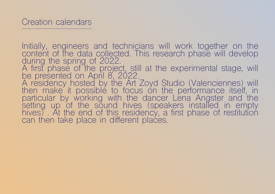Initially, engineers and technicians will work together on the content of the data collected. This research phase will develop during the spring of 2022. A first phase of the project, still at the experimental stage, will be presented on April 8, 2022. A residency hosted by the Art Zoyd Studio (Valenciennes) will then make it possible to focus on the performance itself, in particular by working with the dancer Lena Angster and the setting up of the sound hives (speakers installed in empty hives) . At the end of this residency, a first phase of restitution can then take place in different places.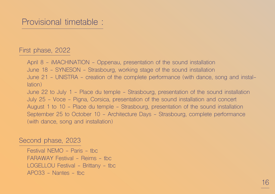#### First phase, 2022

April 8 - iMACHINATION - Oppenau, presentation of the sound installation

June 18 - SYNESON - Strasbourg, working stage of the sound installation

June 21 - UNISTRA - creation of the complete performance (with dance, song and installation)

June 22 to July 1 - Place du temple - Strasbourg, presentation of the sound installation July 25 - Voce - Pigna, Corsica, presentation of the sound installation and concert August 1 to 10 - Place du temple - Strasbourg, presentation of the sound installation September 25 to October 10 - Architecture Days - Strasbourg, complete performance (with dance, song and installation)

#### Second phase, 2023

Festival NFMO - Paris - the FARAWAY Festival - Reims - tbc LOGELLOU Festival - Brittany - tbc  $APO33 - Nantes - thc$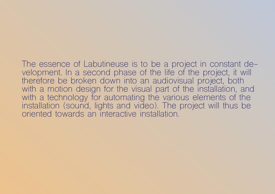The essence of Labutineuse is to be a project in constant development. In a second phase of the life of the project, it will therefore be broken down into an audiovisual project, both with a motion design for the visual part of the installation, and with a technology for automating the various elements of the installation (sound, lights and video). The project will thus be oriented towards an interactive installation.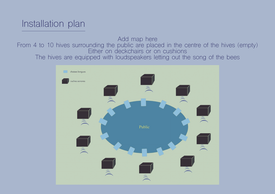# Installation plan

Add map here From 4 to 10 hives surrounding the public are placed in the centre of the hives (empty) Either on deckchairs or on cushions The hives are equipped with loudspeakers letting out the song of the bees

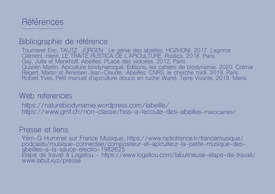

#### Bibliographie de référence

Tourneret Eric, TAUTZ JÜRGEN . Le génie des abeilles. HOZHONI. 2017. Lagorce Clément, Henri. LE TRAITÉ RUSTICA DE L'APICULTURE. Rustica. 2018. Paris Gay, Jutta et Menkhoff. Abeilles. PLace des victoires. 2012. Paris. Quantin Martin. Apiculture biodynamique. Editions, les cahiers de biodynamie. 2020. Colmar Regert, Martin et Ameisen Jean-Claude.. Abeilles. CNRS, le cherche midi. 2019. Paris Robert Yves. Petit manuel d'apiculture douce en ruche Warré. Terre Vivante. 2019. Mens

#### Web references

https://naturebiodynamie.wordpress.com/labeille/ https://www.grrif.ch/non-classe/hiss-a-lecoute-des-abeilles-marocaines/

#### Presse et liens

Yérri-G Hummel sur France Musique. https://www.radiofrance.fr/francemusique/ podcasts/musique-connectee/compositeur-et-apiculteur-la-petite-musique-desabeilles-a-la-sauce-electro-1982625 Etape de travail à Logelou - https://www.logellou.com/labutineuse-etape-de-travail/ www.labut.xyz/presse